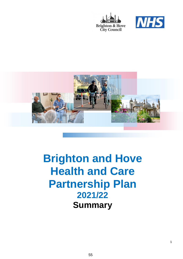





# **Brighton and Hove Health and Care Partnership Plan 2021/22 Summary**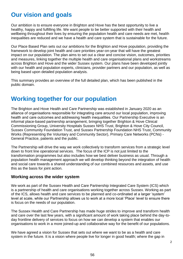### **Our vision and goals**

Our ambition is to ensure everyone in Brighton and Hove has the best opportunity to live a healthy, happy and fulfilling life. We want people to be better supported with their health and wellbeing throughout their lives by ensuring the population health and care needs are met, health inequalities are reduced and we have a health and care system that is sustainable for the future.

Our Place Based Plan sets out our ambitions for the Brighton and Hove population, providing the framework to develop joint health and care priorities year-on-year that will have the greatest impact on our population. The plan aims to set out a clear and concise vision, outcomes, priorities and measures, linking together the multiple health and care organisational plans and workstreams across Brighton and Hove and the wider Sussex system. Our plans have been developed jointly with our health and population experts, clinicians, provider partners and our population, as well as being based upon detailed population analysis.

This summary provides an overview of the full detailed plan, which has been published in the public domain.

### **Working together for our population**

The Brighton and Hove Health and Care Partnership was established in January 2020 as an alliance of organisations responsible for integrating care around our local population, improving health and care outcomes and addressing health inequalities. Our Partnership Executive is an informal place-based partnership arrangement, bringing together Brighton & Hove Clinical Commissioning Group, University Hospitals Sussex NHS Trust, Brighton & Hove City Council, Sussex Community Foundation Trust, and Sussex Partnership Foundation NHS Trust, Community Works (Representing the Voluntary and Community Sector), Primary Care Networks (PCNs) - General Practice, patients and the public.

The Partnership will drive the way we work collectively to transform services from a strategic level down to front line operational services. The focus of the ICP is not just limited to the transformation programmes but also includes how we best deliver business as usual. Through a population health management approach we will develop thinking beyond the integration of health and social care towards a shared understanding of our combined resources and assets, and use this as the basis for joint action.

#### **Working across the wider system**

We work as part of the Sussex Health and Care Partnership Integrated Care System (ICS) which is a partnership of health and care organisations working together across Sussex. Working as part of the ICS, allows health and care services to be planned and co-ordinated at a larger 'system' level at scale, while our Partnership allows us to work at a more local 'Place' level to ensure there is focus on the needs of our population.

The Sussex Health and Care Partnership has made huge strides to improve and transform health and care over the last few years, with a significant amount of work taking place behind the day-today frontline delivery of services to focus on how we can develop a system that enables our organisations to work in a more joined-up and collaborative way for the benefit of our populations.

We have agreed a vision for Sussex that sets out where we want to be as a health and care system in the future. It is a vision where people live for longer in good health; where the gap in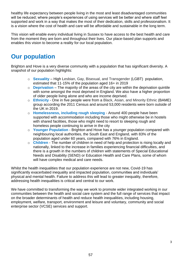healthy life expectancy between people living in the most and least disadvantaged communities will be reduced; where people's experiences of using services will be better and where staff feel supported and work in a way that makes the most of their dedication, skills and professionalism. It is a vision where the cost of health and care will be affordable and sustainable in the long term.

This vision will enable every individual living in Sussex to have access to the best health and care from the moment they are born and throughout their lives. Our place-based plan supports and enables this vision to become a reality for our local population.

### **Our population**

Brighton and Hove is a very diverse community with a population that has significant diversity. A snapshot of our population highlights:

- o **Sexuality** High Lesbian, Gay, Bisexual, and Transgender (LGBT) population, estimated that 11-15% of the population aged 16+ in 2019
- o **Deprivation** The majority of the areas of the city are within the deprivation quintile with some amongst the most deprived in England. We also have a higher proportion of older people living alone and who are income deprived.
- o **Ethnicity** One in five people were from a Black, Asian, and Minority Ethnic (BAME) group according the 2011 Census and around 53,000 residents were born outside of the UK in 2019.
- o **Homelessness, including rough sleeping** Around 400 people have been supported with accommodation including those who might otherwise be in hostels with shared facilities, those who might need to resort to sleeping rough and homeless people continuing to arrive in the city
- o **Younger Population** Brighton and Hove has a younger population compared with neighbouring local authorities, the South East and England, with 83% of the population aged under 60 years, compared with 76% in England.
- o **Children** The number of children in need of help and protection is rising locally and nationally, linked to the increase in families experiencing financial difficulties, and there is a growth in the numbers of children with statements of Special Educational Needs and Disability (SEND) or Education Health and Care Plans, some of whom will have complex medical and care needs.

Whilst the health inequalities that our population experience are not new, Covid-19 has significantly exacerbated inequality and impacted population, communities and individuals' physical and mental health. Failure to address this will lead to greater inequality, therefore, addressing health inequalities is critical and central to our work.

We have committed to transforming the way we work to promote wider integrated working in our communities between the health and social care system and the full range of services that impact on the broader determinants of health and reduce health inequalities, including housing, employment, welfare, transport, environment and leisure and voluntary, community and social enterprise sector (VCSE) services and support.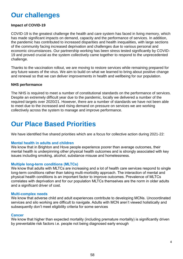# **Our challenges**

#### **Impact of COVID-19**

COVID-19 is the greatest challenge the health and care system has faced in living memory, which has made significant impacts on demand, capacity and the performance of services. In addition, the pandemic has contributed to increased disparities and health inequalities, with large sections of the community facing increased deprivation and challenges due to various personal and economic circumstances. Our partnership working has been stress tested significantly by COVID-19 and proved crucial as the system collectively came together to respond to the unprecedented challenge.

Thanks to the vaccination rollout, we are moving to restore services while remaining prepared for any future waves of the virus. We aim to build on what we learned to bring about positive change and renewal so that we can deliver improvements in health and wellbeing for our population.

#### **NHS performance**

The NHS is required to meet a number of constitutional standards on the performance of services. Despite an extremely difficult year due to the pandemic, locally we delivered a number of the required targets over 2020/21. However, there are a number of standards we have not been able to meet due to the increased and rising demand on pressure on services we are working collectively across the system to manage and improve performance.

# **Our Place Based Priorities**

We have identified five shared priorities which are a focus for collective action during 2021-22:

#### **Mental health in adults and children**

We know that in Brighton and Hove people experience poorer than average outcomes, their mental health is underpinning other physical health outcomes and is strongly associated with key issues including smoking, alcohol, substance misuse and homelessness.

#### **Multiple long-term conditions (MLTCs)**

We know that adults with MLTCs are increasing and a lot of health care services respond to single long-term conditions rather than taking multi-morbidity approach. The interaction of mental and physical health conditions is an important factor to improve outcomes. Prevalence of MLTCs correlates with deprivation and for our population MLTCs themselves are the norm in older adults and a significant driver of cost.

#### **Multi-complex needs**

We know that adverse child and adult experiences contribute to developing MCNs. Uncoordinated services and silo working are difficult to navigate. Adults with MCN aren't viewed holistically and subsequently don't meet eligibility criteria for some services

#### **Cancer**

We know that higher than expected mortality (including premature mortality) is significantly driven by preventable risk factors i.e. people not being diagnosed early enough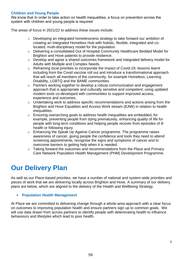#### **Children and Young People**

We know that In order to take action on health inequalities, a focus on prevention across the system with children and young people is required

The areas of focus in 2021/22 to address these issues include:

- o Developing an integrated homelessness strategy to take forward our ambition of creating an Integrated Homeless Hub with holistic, flexible, integrated and colocated, multi-disciplinary model for the population.
- o Delivering a consolidated Out of Hospital Community Healthcare Bedded Model for Brighton and Hove patients to provide resilience.
- o Develop and agree a shared outcomes framework and integrated delivery model for Adults with Multiple and Complex Needs.
- o Reframing local priorities to incorporate the impact of Covid-19, lessons learnt including from the Covid vaccine roll out and introduce a transformational approach that will reach all members of the community, for example Homeless, Learning Disability, LGBTQ and the BAME communities.
- o Partners working together to develop a robust communication and engagement approach that is appropriate and culturally sensitive and competent; using updated modern tools co-developed with communities to support improved access, experience and outcomes.
- o Undertaking work to address specific recommendations and actions arising from the Brighton and Hove Equalities and Access Work stream (EAW) in relation to health inequalities.
- o Ensuring overarching goals to address health inequalities are embedded; for example, preventing people from dying prematurely, enhancing quality of life for people with long-term conditions and helping people recover from episodes of ill health or following injury.
- $\circ$  Enhancing the Speak Up Against Cancer programme. The programme raises awareness of cancer, giving people the confidence and tools they need to attend screening appointments, recognise the signs and symptoms of cancer and to overcome barriers to getting help when it is needed.
- o Taking forward the outcomes and recommendations from the Place and Primary Care Network Population Health Management (PHM) Development Programme.

# **Our Delivery Plan**

As well as our Place-based priorities, we have a number of national and system-wide priorities and pieces of work that we are delivering locally across Brighton and Hove. A summary of our delivery plans are below, which are aligned to the delivery of the Health and Wellbeing Strategy.

#### **Population Health Management**

At Place we are committed to delivering change through a whole-area approach with a clear focus on outcomes to improving population health and ensure partners sign up to common goals. We will use data drawn from across partners to identify people with deteriorating health to influence behaviours and lifestyles which lead to poor health.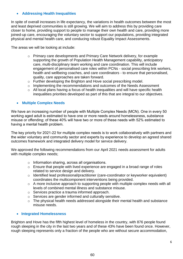#### **Addressing Health Inequalities**

In spite of overall increases in life expectancy, the variations in health outcomes between the most and least deprived communities is still growing. We will aim to address this by providing care closer to home, providing support to people to manage their own health and care, providing more joined-up care, encouraging the voluntary sector to support our populations, providing integrated physical and mental health care, and conducing robust Equality Impact Assessments.

The areas we will be looking at include:

- o Primary care developments and Primary Care Network delivery, for example supporting the growth of Population Health Management capability, anticipatory care, multi-disciplinary team working and care coordination. This will include engagement of personalised care roles within PCNs - social prescribing link workers, health and wellbeing coaches, and care coordinators - to ensure that personalised, quality, care approaches are taken forward.
- o Further developing the Brighton and Hove social prescribing model.
- o Implementing the recommendations and outcomes of the Needs Assessment
- o All local plans having a focus of health inequalities and will have specific health inequalities priorities developed as part of this that are integral to our objectives.

#### **Multiple Complex Needs**

We have an increasing number of people with Multiple Complex Needs (MCN). One in every 50 working aged adult is estimated to have one or more needs around homelessness, substance misuse or offending; of these 40% will have two or more of these needs with 52% estimated to having a mental health problem.

The key priority for 2021-22 for multiple complex needs is to work collaboratively with partners and the wider voluntary and community sector and experts by experience to develop an agreed shared outcomes framework and integrated delivery model for service delivery.

We approved the following recommendations from our April 2021 needs assessment for adults with multiple complex needs;

- o Information sharing, across all organisations.
- o Ensure that people with lived experience are engaged in a broad range of roles related to service design and delivery.
- o Identified lead professional/practitioner (care-coordinator or keyworker equivalent) coordinates the multicomponent interventions being provided.
- o A more inclusive approach to supporting people with multiple complex needs with all levels of combined mental illness and substance misuse.
- o Services practice a trauma informed approach.
- o Services are gender informed and culturally sensitive.
- o The physical health needs addressed alongside their mental health and substance misuse needs.

#### **Integrated Homelessness**

Brighton and Hove has the fifth highest level of homeless in the country, with 876 people found rough sleeping in the city in the last two years and of these 43% have been found once. However, rough sleeping represents only a fraction of the people who are without secure accommodation,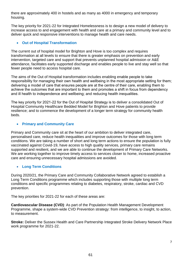there are approximately 400 in hostels and as many as 4000 in emergency and temporary housing.

The key priority for 2021-22 for Integrated Homelessness is to design a new model of delivery to increase access to and engagement with health and care at a primary and community level and to deliver quick and responsive interventions to manage health and care needs.

#### **Out of Hospital Transformation**

The current out of hospital model for Brighton and Hove is too complex and requires transformation at all levels to ensure that there is greater emphasis on prevention and early intervention, targeted care and support that prevents unplanned hospital admission or A&E attendance, facilitates early supported discharge and enables people to live and stay well so that fewer people need to access hospital care.

The aims of the Out of Hospital transformation includes enabling enable people to take responsibility for managing their own health and wellbeing in the most appropriate setting for them; delivering a model of care that ensures people are at the centre of their care, enabling them to achieve the outcomes that are important to them and promotes a shift in focus from dependency and ill health to independence and wellbeing; and reducing health inequalities.

The key priority for 2021-22 for the Out of Hospital Strategy is to deliver a consolidated Out of Hospital Community Healthcare Bedded Model for Brighton and Hove patients to provide resilience; and to commence the development of a longer term strategy for community health beds.

#### **Primary and Community Care**

Primary and Community care sit at the heart of our ambition to deliver integrated care, personalised care, reduce health inequalities and improve outcomes for those with long term conditions. We are taking a number of short and long term actions to ensure the population is fully vaccinated against Covid-19, have access to high quality services, primary care remains supported and resilient, and we are able to continue the development of Primary Care Networks. We are working together to improve timely access to services closer to home, increased proactive care and ensuring unnecessary hospital admissions are avoided.

#### **Long Term Conditions**

During 2020/21, the Primary Care and Community Collaborative Network agreed to establish a Long Term Conditions programme which includes supporting those with multiple long term conditions and specific programmes relating to diabetes, respiratory, stroke, cardiac and CVD prevention.

The key priorities for 2021-22 for each of these areas are:

**Cardiovascular Disease (CVD)**: As part of the Population Health Management Development Programme, shape a system-wide CVD Prevention strategy: from intelligence, to insight, to action, to measurement.

**Stroke:** Deliver the Sussex Health and Care Partnership Integrated Stroke Delivery Network Place work programme for 2021-22.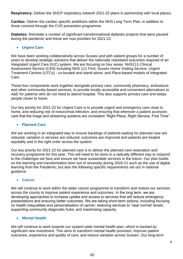**Respiratory:** Deliver the SHCP respiratory network 2021-22 plans in partnership with local places.

**Cardiac:** Deliver the cardiac specific ambitions within the NHS Long Term Plan, in addition to those covered through the CVD prevention programme.

**Diabetes:** Reinstate a number of significant transformational diabetes projects that were paused during the pandemic and these are now priorities for 2021-22.

#### **Urgent Care**

We have been working collaboratively across Sussex and with patient groups for a number of years to develop strategic solutions that deliver the nationally mandated outcomes required of an Integrated Urgent Care (IUC) system. We are focusing on four areas: NHS111-Clinical Assessment Service (CAS) including NHS 111 First; Sussex Home Visiting Service; Urgent Treatment Centres (UTCs) - co-located and stand-alone; and Place-based models of Integrated Care.

These four components work together alongside primary care, community pharmacy, ambulance and other community-based services, to provide locally accessible and convenient alternatives to A&E for patients who do not need to attend hospital. This also supports primary care and keeps people closer to home.

Our key priority for 2021-22 for Urgent Care is to provide urgent and emergency care close to home, and reducing risk of nosocomial infection; and ensuring that wherever a patient accesses care that the triage and streaming systems are consistent "Right Place, Right Service, First Time".

#### **Planned Care**

We are working in an integrated way to ensure backlogs of patients waiting for planned care are reduced, variation in services are reduced, outcomes are improved and patients are treated equitably and in the right order across the system.

Our key priority for 2021-22 for planned care is to deliver the planned care restoration and recovery programme for this year. This will need to be done in a radically different way to respond to the challenges we face and ensure we have sustainable services in the future. Our plan builds on the learning and transformation born out of necessity during 2020-21 such as the use of digital, learning from the Pandemic, but also the following specific requirements set out in national guidance.

#### **Cancer**

We will continue to work within the wider cancer programme to transform and restore our services across the county to improve patient experience and outcomes. In the long term, we are developing approaches to increase uptake and access to services that will reduce emergency presentations and ensuring better outcomes. We are taking short-term actions, including focusing on health inequalities and personalisation of cancer; restoring services to 'near normal' levels; supporting community diagnostic hubs; and maximising capacity.

#### **Mental Health**

We will continue to work towards our system-wide mental health plan, which is backed by significant new investment. This aims to transform mental health provision, improve patient outcomes, experience and quality of care, and reduce variation across Sussex. Our long-term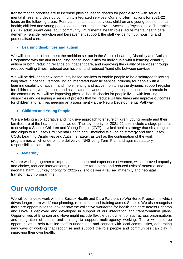transformation priorities are to increase physical health checks for people living with serious mental illness, and develop community integrated services. Our short-term actions for 2021-22 focus on the following areas: Perinatal mental health services; children and young people mental health; children and young people eating disorders; improving Access to Psychological Therapies (IAPT); adult urgent care; adult community; PCN mental health roles; acute mental health care; dementia; suicide reduction and bereavement support; the staff wellbeing hub; housing; and personalised care.

#### **Learning disabilities and autism**

We will continue to implement the ambition set out in the Sussex Learning Disability and Autism Programme with the aim of reducing health inequalities for individuals with a learning disability, autism or both, reducing reliance on inpatient care, and improving the quality of services through reduced waiting times, reduced admissions, and reduced 'hand offs between services.

We will be delivering new community based services to enable people to be discharged following long stays in hospital, remodelling an integrated forensic service including for people with a learning disability or autism, and implementing and active monitoring the dynamic support register for children and young people and associated network meetings to support children to remain in the community. We will be improving physical health checks for people living with learning disabilities and designing a series of projects that will reduce waiting times and improve outcomes for children and families needing an assessment via the Neuro Developmental Pathway.

#### **Children and Young People**

We are taking a collaborative and inclusive approach to ensure children, young people and their families are at the heart of all that we do. The key priority for 2021-22 is to include a stage process to develop a Sussex Children and Young People (CYP) physical health strategy that sits alongside and aligns to a Sussex CYP Mental Health and Emotional Well-being strategy and the Sussex CCGs Learning Disabilities and Autism strategy, as well as the continuation of the work programmes which underpin the delivery of NHS Long Term Plan and against statutory responsibilities for children.

#### **Maternity**

We are working together to improve the support and experience of women, with improved capacity and choice, reduced interventions, reduced pre-term births and reduced risks of maternal and neonatal harm. Our key priority for 2021-22 is to deliver a revised maternity and neonatal transformation programme.

### **Our workforce**

We will continue to work with the Sussex Health and Care Partnership Workforce Programme which drives longer-term workforce planning, recruitment and training across Sussex. We also recognise there are opportunities to look at how the collective workforce for health and care across Brighton and Hove is deployed and developed in support of our integration and transformation plans. Opportunities at Brighton and Hove might include flexible deployment of staff across organisations and integration of teams and training to support multi-agency working. There will also be opportunities to help frontline staff to understand and connect with local communities, generating new ways of working that recognise and support the role people and communities can play in improving their own health.